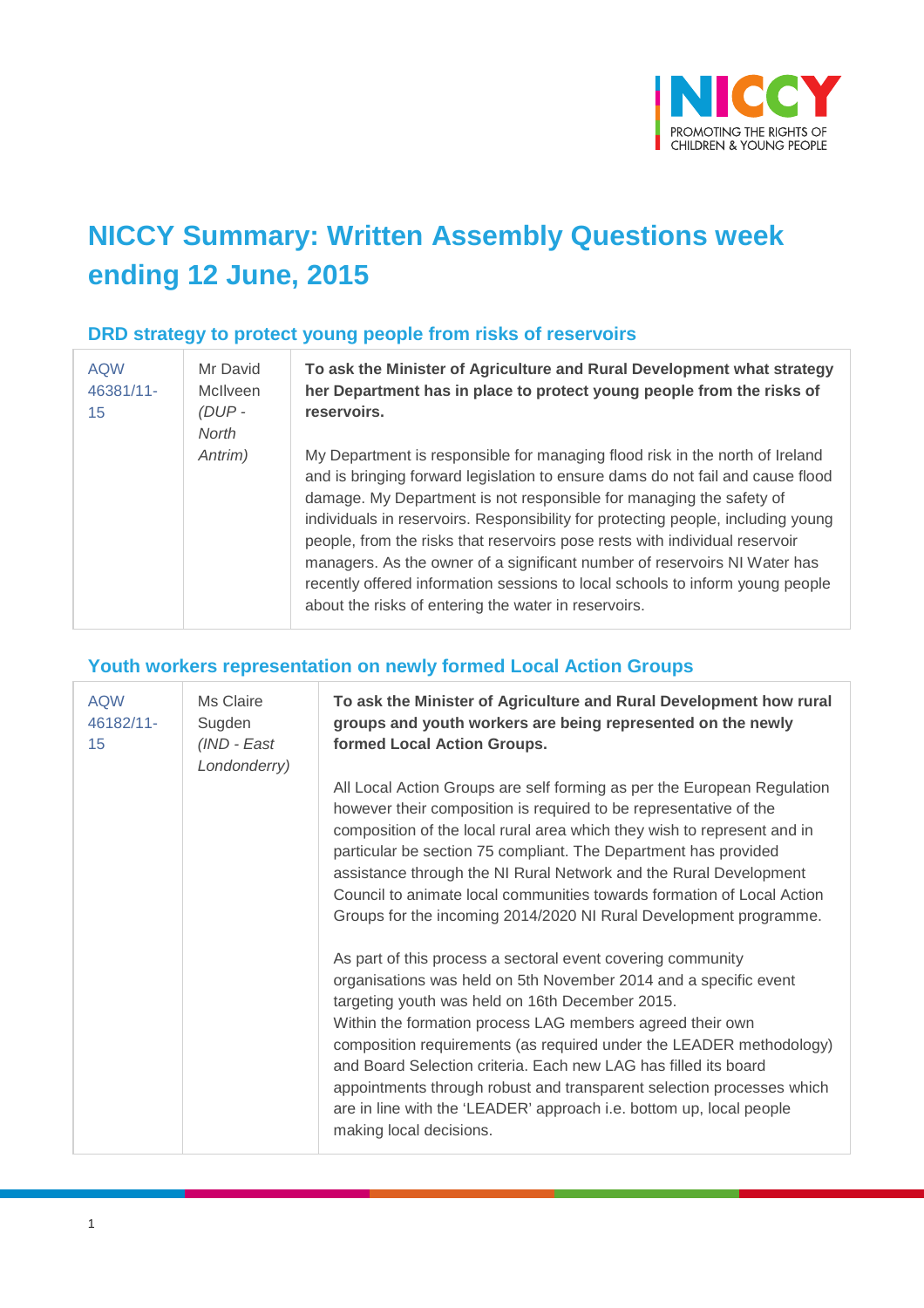

# **NICCY Summary: Written Assembly Questions week ending 12 June, 2015**

#### **DRD strategy to protect young people from risks of reservoirs**

| <b>AQW</b><br>46381/11-<br>15 | Mr David<br>McIlveen<br>(DUP-<br>North | To ask the Minister of Agriculture and Rural Development what strategy<br>her Department has in place to protect young people from the risks of<br>reservoirs.                                                                                                                                                                                                                                                                                                                                                                                                                                                                 |
|-------------------------------|----------------------------------------|--------------------------------------------------------------------------------------------------------------------------------------------------------------------------------------------------------------------------------------------------------------------------------------------------------------------------------------------------------------------------------------------------------------------------------------------------------------------------------------------------------------------------------------------------------------------------------------------------------------------------------|
|                               | Antrim)                                | My Department is responsible for managing flood risk in the north of Ireland<br>and is bringing forward legislation to ensure dams do not fail and cause flood<br>damage. My Department is not responsible for managing the safety of<br>individuals in reservoirs. Responsibility for protecting people, including young<br>people, from the risks that reservoirs pose rests with individual reservoir<br>managers. As the owner of a significant number of reservoirs NI Water has<br>recently offered information sessions to local schools to inform young people<br>about the risks of entering the water in reservoirs. |

### **Youth workers representation on newly formed Local Action Groups**

| <b>AQW</b><br>46182/11-<br>15 | Ms Claire<br>Sugden<br>(IND - East<br>Londonderry) | To ask the Minister of Agriculture and Rural Development how rural<br>groups and youth workers are being represented on the newly<br>formed Local Action Groups.                                                                                                                                                                                                                                                                                                                                                                                                     |
|-------------------------------|----------------------------------------------------|----------------------------------------------------------------------------------------------------------------------------------------------------------------------------------------------------------------------------------------------------------------------------------------------------------------------------------------------------------------------------------------------------------------------------------------------------------------------------------------------------------------------------------------------------------------------|
|                               |                                                    | All Local Action Groups are self forming as per the European Regulation<br>however their composition is required to be representative of the<br>composition of the local rural area which they wish to represent and in<br>particular be section 75 compliant. The Department has provided<br>assistance through the NI Rural Network and the Rural Development<br>Council to animate local communities towards formation of Local Action<br>Groups for the incoming 2014/2020 NI Rural Development programme.                                                       |
|                               |                                                    | As part of this process a sectoral event covering community<br>organisations was held on 5th November 2014 and a specific event<br>targeting youth was held on 16th December 2015.<br>Within the formation process LAG members agreed their own<br>composition requirements (as required under the LEADER methodology)<br>and Board Selection criteria. Each new LAG has filled its board<br>appointments through robust and transparent selection processes which<br>are in line with the 'LEADER' approach i.e. bottom up, local people<br>making local decisions. |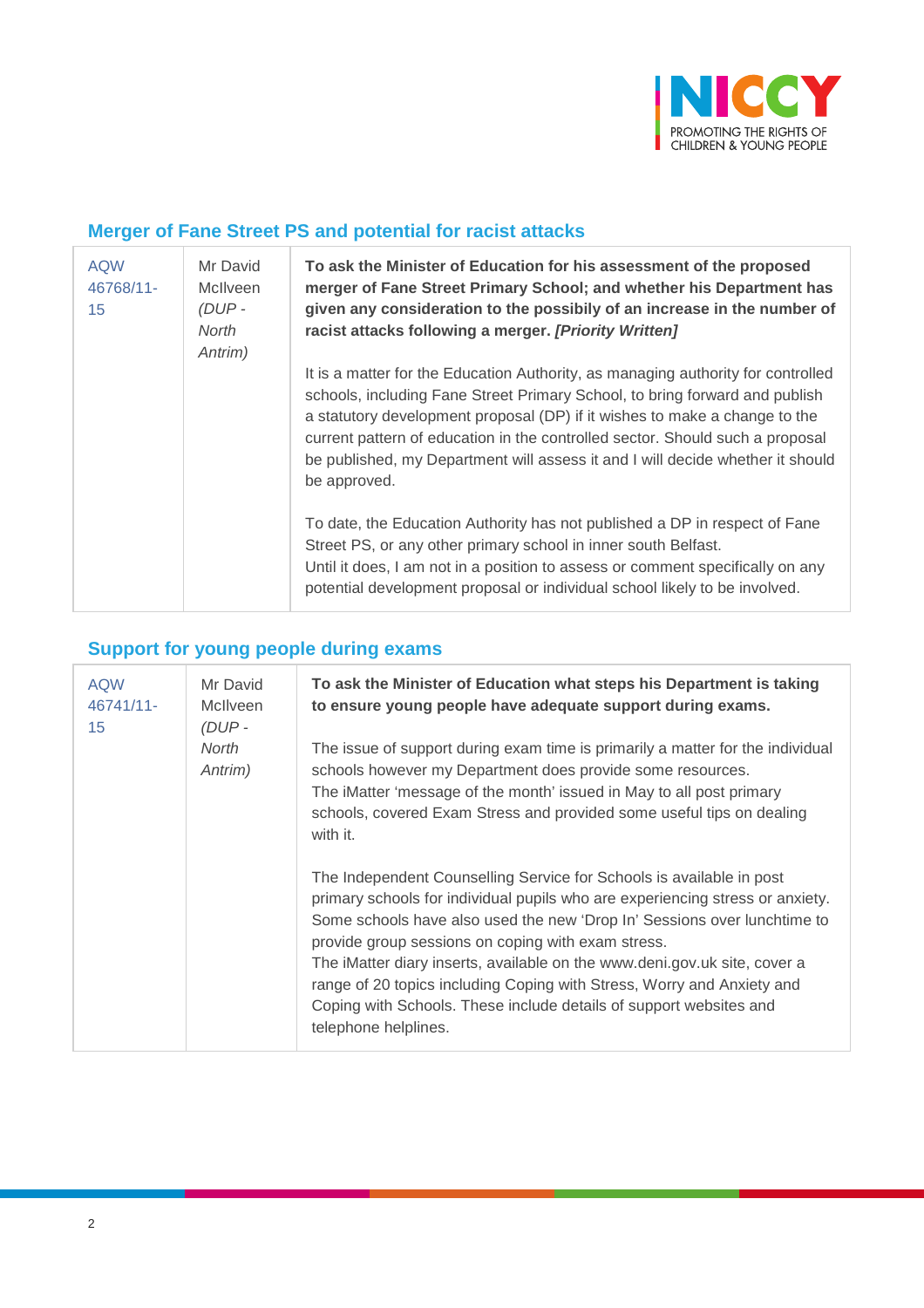

## **Merger of Fane Street PS and potential for racist attacks**

| <b>AQW</b><br>46768/11-<br>15 | Mr David<br><b>McIlveen</b><br>$(DUP -$<br>North<br>Antrim) | To ask the Minister of Education for his assessment of the proposed<br>merger of Fane Street Primary School; and whether his Department has<br>given any consideration to the possibily of an increase in the number of<br>racist attacks following a merger. [Priority Written]                                                                                                                                                 |
|-------------------------------|-------------------------------------------------------------|----------------------------------------------------------------------------------------------------------------------------------------------------------------------------------------------------------------------------------------------------------------------------------------------------------------------------------------------------------------------------------------------------------------------------------|
|                               |                                                             | It is a matter for the Education Authority, as managing authority for controlled<br>schools, including Fane Street Primary School, to bring forward and publish<br>a statutory development proposal (DP) if it wishes to make a change to the<br>current pattern of education in the controlled sector. Should such a proposal<br>be published, my Department will assess it and I will decide whether it should<br>be approved. |
|                               |                                                             | To date, the Education Authority has not published a DP in respect of Fane<br>Street PS, or any other primary school in inner south Belfast.<br>Until it does, I am not in a position to assess or comment specifically on any<br>potential development proposal or individual school likely to be involved.                                                                                                                     |

# **Support for young people during exams**

| <b>AQW</b><br>46741/11-<br>15 | Mr David<br><b>McIlveen</b><br>(DUP- | To ask the Minister of Education what steps his Department is taking<br>to ensure young people have adequate support during exams.                                                                                                                                                                                                                                                                                                                                                                                                           |
|-------------------------------|--------------------------------------|----------------------------------------------------------------------------------------------------------------------------------------------------------------------------------------------------------------------------------------------------------------------------------------------------------------------------------------------------------------------------------------------------------------------------------------------------------------------------------------------------------------------------------------------|
|                               | North<br>Antrim)                     | The issue of support during exam time is primarily a matter for the individual<br>schools however my Department does provide some resources.<br>The iMatter 'message of the month' issued in May to all post primary<br>schools, covered Exam Stress and provided some useful tips on dealing<br>with it.                                                                                                                                                                                                                                    |
|                               |                                      | The Independent Counselling Service for Schools is available in post<br>primary schools for individual pupils who are experiencing stress or anxiety.<br>Some schools have also used the new 'Drop In' Sessions over lunchtime to<br>provide group sessions on coping with exam stress.<br>The iMatter diary inserts, available on the www.deni.gov.uk site, cover a<br>range of 20 topics including Coping with Stress, Worry and Anxiety and<br>Coping with Schools. These include details of support websites and<br>telephone helplines. |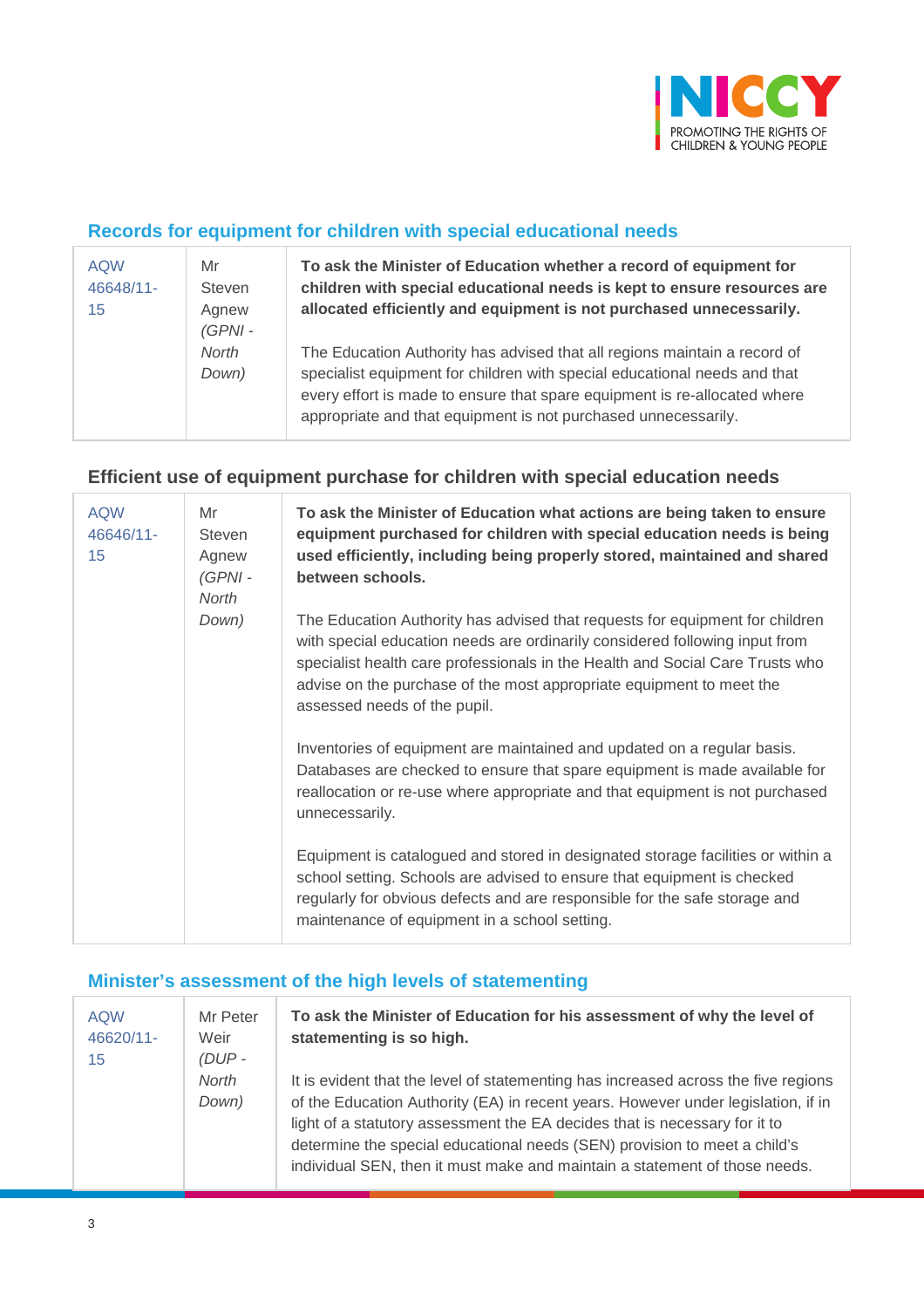

### **Records for equipment for children with special educational needs**

| <b>AQW</b><br>46648/11-<br>15 | Mr<br><b>Steven</b><br>Agnew<br>$(GPNI -$ | To ask the Minister of Education whether a record of equipment for<br>children with special educational needs is kept to ensure resources are<br>allocated efficiently and equipment is not purchased unnecessarily.                                                                                  |
|-------------------------------|-------------------------------------------|-------------------------------------------------------------------------------------------------------------------------------------------------------------------------------------------------------------------------------------------------------------------------------------------------------|
|                               | <b>North</b><br>Down)                     | The Education Authority has advised that all regions maintain a record of<br>specialist equipment for children with special educational needs and that<br>every effort is made to ensure that spare equipment is re-allocated where<br>appropriate and that equipment is not purchased unnecessarily. |

### **Efficient use of equipment purchase for children with special education needs**

| <b>AQW</b><br>46646/11-<br>15 | Mr<br>Steven<br>Agnew<br>$(GPNI -$<br>North | To ask the Minister of Education what actions are being taken to ensure<br>equipment purchased for children with special education needs is being<br>used efficiently, including being properly stored, maintained and shared<br>between schools.                                                                                                    |
|-------------------------------|---------------------------------------------|------------------------------------------------------------------------------------------------------------------------------------------------------------------------------------------------------------------------------------------------------------------------------------------------------------------------------------------------------|
|                               | Down)                                       | The Education Authority has advised that requests for equipment for children<br>with special education needs are ordinarily considered following input from<br>specialist health care professionals in the Health and Social Care Trusts who<br>advise on the purchase of the most appropriate equipment to meet the<br>assessed needs of the pupil. |
|                               |                                             | Inventories of equipment are maintained and updated on a regular basis.<br>Databases are checked to ensure that spare equipment is made available for<br>reallocation or re-use where appropriate and that equipment is not purchased<br>unnecessarily.                                                                                              |
|                               |                                             | Equipment is catalogued and stored in designated storage facilities or within a<br>school setting. Schools are advised to ensure that equipment is checked<br>regularly for obvious defects and are responsible for the safe storage and<br>maintenance of equipment in a school setting.                                                            |

### **Minister's assessment of the high levels of statementing**

| <b>AQW</b><br>46620/11-<br>15 | Mr Peter<br>Weir<br>$(DUP -$ | To ask the Minister of Education for his assessment of why the level of<br>statementing is so high.                                                                                                                                                                                                                                                                                                              |
|-------------------------------|------------------------------|------------------------------------------------------------------------------------------------------------------------------------------------------------------------------------------------------------------------------------------------------------------------------------------------------------------------------------------------------------------------------------------------------------------|
|                               | <b>North</b><br>Down)        | It is evident that the level of statementing has increased across the five regions<br>of the Education Authority (EA) in recent years. However under legislation, if in<br>light of a statutory assessment the EA decides that is necessary for it to<br>determine the special educational needs (SEN) provision to meet a child's<br>individual SEN, then it must make and maintain a statement of those needs. |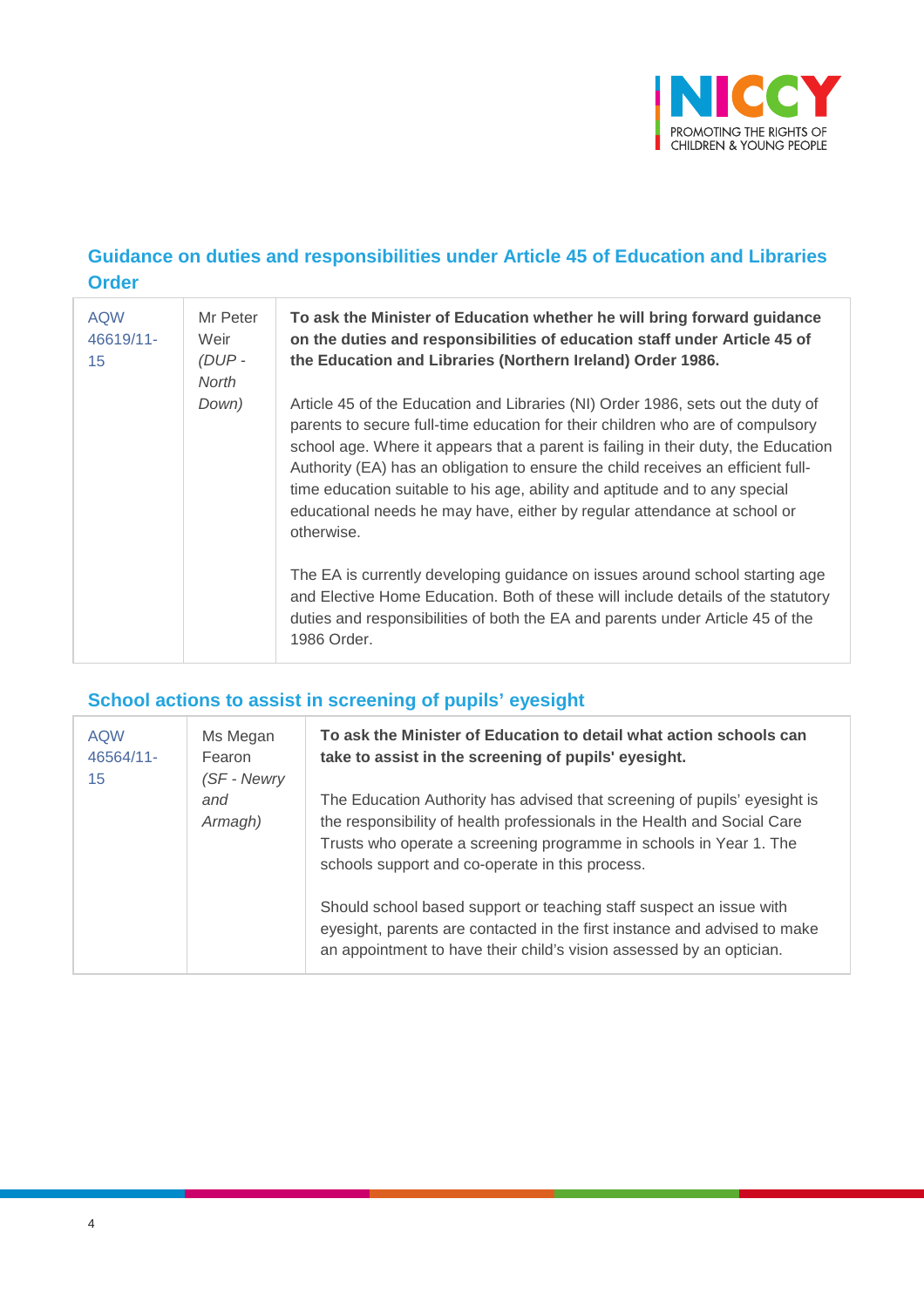

## **Guidance on duties and responsibilities under Article 45 of Education and Libraries Order**

| <b>AQW</b><br>46619/11-<br>15 | Mr Peter<br>Weir<br>$(DUP -$<br>North | To ask the Minister of Education whether he will bring forward guidance<br>on the duties and responsibilities of education staff under Article 45 of<br>the Education and Libraries (Northern Ireland) Order 1986.                                                                                                                                                                                                                                                                                                   |
|-------------------------------|---------------------------------------|----------------------------------------------------------------------------------------------------------------------------------------------------------------------------------------------------------------------------------------------------------------------------------------------------------------------------------------------------------------------------------------------------------------------------------------------------------------------------------------------------------------------|
|                               | Down)                                 | Article 45 of the Education and Libraries (NI) Order 1986, sets out the duty of<br>parents to secure full-time education for their children who are of compulsory<br>school age. Where it appears that a parent is failing in their duty, the Education<br>Authority (EA) has an obligation to ensure the child receives an efficient full-<br>time education suitable to his age, ability and aptitude and to any special<br>educational needs he may have, either by regular attendance at school or<br>otherwise. |
|                               |                                       | The EA is currently developing guidance on issues around school starting age<br>and Elective Home Education. Both of these will include details of the statutory<br>duties and responsibilities of both the EA and parents under Article 45 of the<br>1986 Order.                                                                                                                                                                                                                                                    |

## **School actions to assist in screening of pupils' eyesight**

| <b>AQW</b><br>46564/11-<br>15 | Ms Megan<br>Fearon<br>(SF - Newry<br>and<br>Armagh) | To ask the Minister of Education to detail what action schools can<br>take to assist in the screening of pupils' eyesight.                                                                                                                                                     |
|-------------------------------|-----------------------------------------------------|--------------------------------------------------------------------------------------------------------------------------------------------------------------------------------------------------------------------------------------------------------------------------------|
|                               |                                                     | The Education Authority has advised that screening of pupils' eyesight is<br>the responsibility of health professionals in the Health and Social Care<br>Trusts who operate a screening programme in schools in Year 1. The<br>schools support and co-operate in this process. |
|                               |                                                     | Should school based support or teaching staff suspect an issue with<br>eyesight, parents are contacted in the first instance and advised to make<br>an appointment to have their child's vision assessed by an optician.                                                       |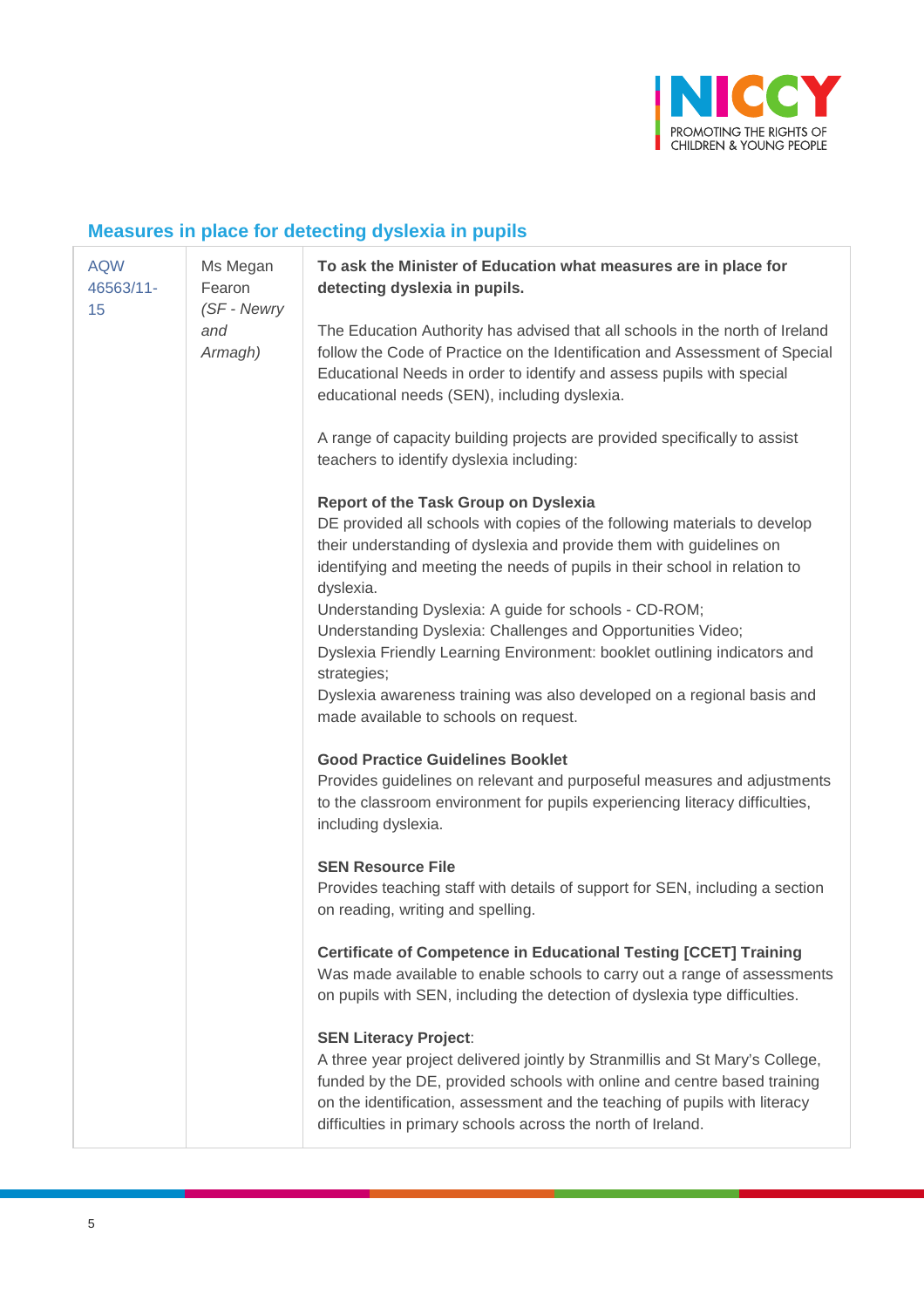

# **Measures in place for detecting dyslexia in pupils**

| <b>AQW</b><br>46563/11-<br>15 | Ms Megan<br>Fearon<br>(SF - Newry | To ask the Minister of Education what measures are in place for<br>detecting dyslexia in pupils.                                                                                                                                                                                                                                                                                                                                                                                                              |
|-------------------------------|-----------------------------------|---------------------------------------------------------------------------------------------------------------------------------------------------------------------------------------------------------------------------------------------------------------------------------------------------------------------------------------------------------------------------------------------------------------------------------------------------------------------------------------------------------------|
|                               | and<br>Armagh)                    | The Education Authority has advised that all schools in the north of Ireland<br>follow the Code of Practice on the Identification and Assessment of Special<br>Educational Needs in order to identify and assess pupils with special<br>educational needs (SEN), including dyslexia.                                                                                                                                                                                                                          |
|                               |                                   | A range of capacity building projects are provided specifically to assist<br>teachers to identify dyslexia including:                                                                                                                                                                                                                                                                                                                                                                                         |
|                               |                                   | <b>Report of the Task Group on Dyslexia</b><br>DE provided all schools with copies of the following materials to develop<br>their understanding of dyslexia and provide them with guidelines on<br>identifying and meeting the needs of pupils in their school in relation to<br>dyslexia.<br>Understanding Dyslexia: A guide for schools - CD-ROM;<br>Understanding Dyslexia: Challenges and Opportunities Video;<br>Dyslexia Friendly Learning Environment: booklet outlining indicators and<br>strategies; |
|                               |                                   | Dyslexia awareness training was also developed on a regional basis and<br>made available to schools on request.                                                                                                                                                                                                                                                                                                                                                                                               |
|                               |                                   | <b>Good Practice Guidelines Booklet</b><br>Provides guidelines on relevant and purposeful measures and adjustments<br>to the classroom environment for pupils experiencing literacy difficulties,<br>including dyslexia.                                                                                                                                                                                                                                                                                      |
|                               |                                   | <b>SEN Resource File</b><br>Provides teaching staff with details of support for SEN, including a section<br>on reading, writing and spelling.                                                                                                                                                                                                                                                                                                                                                                 |
|                               |                                   | <b>Certificate of Competence in Educational Testing [CCET] Training</b><br>Was made available to enable schools to carry out a range of assessments<br>on pupils with SEN, including the detection of dyslexia type difficulties.                                                                                                                                                                                                                                                                             |
|                               |                                   | <b>SEN Literacy Project:</b><br>A three year project delivered jointly by Stranmillis and St Mary's College,<br>funded by the DE, provided schools with online and centre based training<br>on the identification, assessment and the teaching of pupils with literacy<br>difficulties in primary schools across the north of Ireland.                                                                                                                                                                        |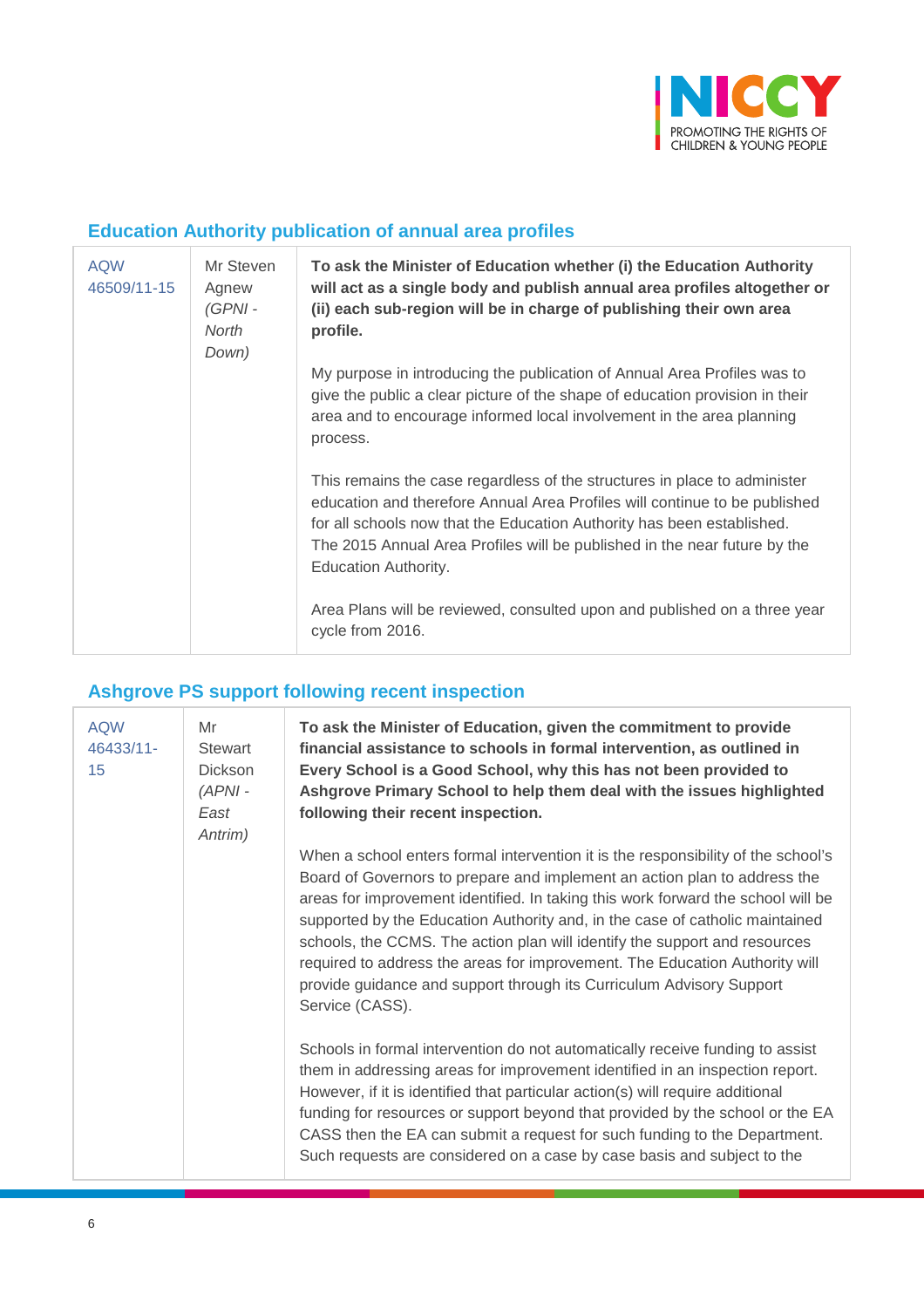

## **Education Authority publication of annual area profiles**

| <b>AQW</b><br>46509/11-15 | Mr Steven<br>Agnew<br>(GPNI -<br>North<br>Down) | To ask the Minister of Education whether (i) the Education Authority<br>will act as a single body and publish annual area profiles altogether or<br>(ii) each sub-region will be in charge of publishing their own area<br>profile.                                                                                                           |
|---------------------------|-------------------------------------------------|-----------------------------------------------------------------------------------------------------------------------------------------------------------------------------------------------------------------------------------------------------------------------------------------------------------------------------------------------|
|                           |                                                 | My purpose in introducing the publication of Annual Area Profiles was to<br>give the public a clear picture of the shape of education provision in their<br>area and to encourage informed local involvement in the area planning<br>process.                                                                                                 |
|                           |                                                 | This remains the case regardless of the structures in place to administer<br>education and therefore Annual Area Profiles will continue to be published<br>for all schools now that the Education Authority has been established.<br>The 2015 Annual Area Profiles will be published in the near future by the<br><b>Education Authority.</b> |
|                           |                                                 | Area Plans will be reviewed, consulted upon and published on a three year<br>cycle from 2016.                                                                                                                                                                                                                                                 |

# **Ashgrove PS support following recent inspection**

| <b>AQW</b><br>46433/11-<br>15 | Mr<br>Stewart<br><b>Dickson</b><br>$(APNI -$<br>East<br>Antrim) | To ask the Minister of Education, given the commitment to provide<br>financial assistance to schools in formal intervention, as outlined in<br>Every School is a Good School, why this has not been provided to<br>Ashgrove Primary School to help them deal with the issues highlighted<br>following their recent inspection.                                                                                                                                                                                                                                                             |
|-------------------------------|-----------------------------------------------------------------|--------------------------------------------------------------------------------------------------------------------------------------------------------------------------------------------------------------------------------------------------------------------------------------------------------------------------------------------------------------------------------------------------------------------------------------------------------------------------------------------------------------------------------------------------------------------------------------------|
|                               |                                                                 | When a school enters formal intervention it is the responsibility of the school's<br>Board of Governors to prepare and implement an action plan to address the<br>areas for improvement identified. In taking this work forward the school will be<br>supported by the Education Authority and, in the case of catholic maintained<br>schools, the CCMS. The action plan will identify the support and resources<br>required to address the areas for improvement. The Education Authority will<br>provide guidance and support through its Curriculum Advisory Support<br>Service (CASS). |
|                               |                                                                 | Schools in formal intervention do not automatically receive funding to assist<br>them in addressing areas for improvement identified in an inspection report.<br>However, if it is identified that particular action(s) will require additional<br>funding for resources or support beyond that provided by the school or the EA<br>CASS then the EA can submit a request for such funding to the Department.<br>Such requests are considered on a case by case basis and subject to the                                                                                                   |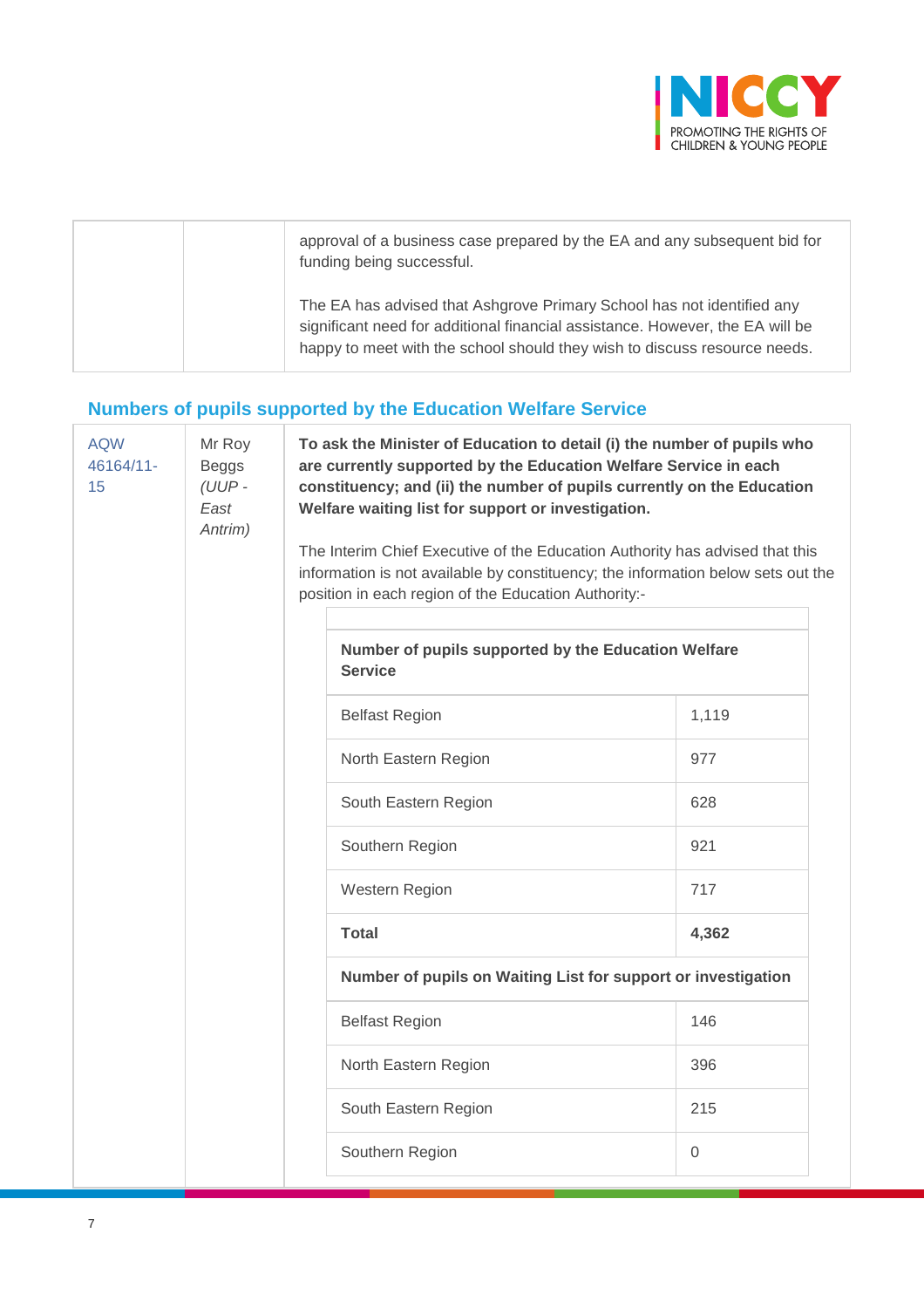

|  | approval of a business case prepared by the EA and any subsequent bid for<br>funding being successful.                                                                                                                               |
|--|--------------------------------------------------------------------------------------------------------------------------------------------------------------------------------------------------------------------------------------|
|  | The EA has advised that Ashgrove Primary School has not identified any<br>significant need for additional financial assistance. However, the EA will be<br>happy to meet with the school should they wish to discuss resource needs. |

# **Numbers of pupils supported by the Education Welfare Service**

| <b>AQW</b><br>46164/11-<br>15 | Mr Roy<br><b>Beggs</b><br>(UUP-<br>East<br>Antrim) |  | To ask the Minister of Education to detail (i) the number of pupils who<br>are currently supported by the Education Welfare Service in each<br>constituency; and (ii) the number of pupils currently on the Education<br>Welfare waiting list for support or investigation.<br>The Interim Chief Executive of the Education Authority has advised that this<br>information is not available by constituency; the information below sets out the<br>position in each region of the Education Authority:-<br>Number of pupils supported by the Education Welfare<br><b>Service</b> |             |  |  |
|-------------------------------|----------------------------------------------------|--|----------------------------------------------------------------------------------------------------------------------------------------------------------------------------------------------------------------------------------------------------------------------------------------------------------------------------------------------------------------------------------------------------------------------------------------------------------------------------------------------------------------------------------------------------------------------------------|-------------|--|--|
|                               |                                                    |  | <b>Belfast Region</b>                                                                                                                                                                                                                                                                                                                                                                                                                                                                                                                                                            | 1,119       |  |  |
|                               |                                                    |  | North Eastern Region                                                                                                                                                                                                                                                                                                                                                                                                                                                                                                                                                             | 977         |  |  |
|                               |                                                    |  | South Eastern Region                                                                                                                                                                                                                                                                                                                                                                                                                                                                                                                                                             | 628         |  |  |
|                               |                                                    |  | Southern Region                                                                                                                                                                                                                                                                                                                                                                                                                                                                                                                                                                  | 921         |  |  |
|                               |                                                    |  | Western Region                                                                                                                                                                                                                                                                                                                                                                                                                                                                                                                                                                   | 717         |  |  |
|                               |                                                    |  | <b>Total</b>                                                                                                                                                                                                                                                                                                                                                                                                                                                                                                                                                                     | 4,362       |  |  |
|                               |                                                    |  | Number of pupils on Waiting List for support or investigation                                                                                                                                                                                                                                                                                                                                                                                                                                                                                                                    |             |  |  |
|                               |                                                    |  | <b>Belfast Region</b>                                                                                                                                                                                                                                                                                                                                                                                                                                                                                                                                                            | 146         |  |  |
|                               |                                                    |  | North Eastern Region                                                                                                                                                                                                                                                                                                                                                                                                                                                                                                                                                             | 396         |  |  |
|                               |                                                    |  | South Eastern Region                                                                                                                                                                                                                                                                                                                                                                                                                                                                                                                                                             | 215         |  |  |
|                               |                                                    |  | Southern Region                                                                                                                                                                                                                                                                                                                                                                                                                                                                                                                                                                  | $\mathbf 0$ |  |  |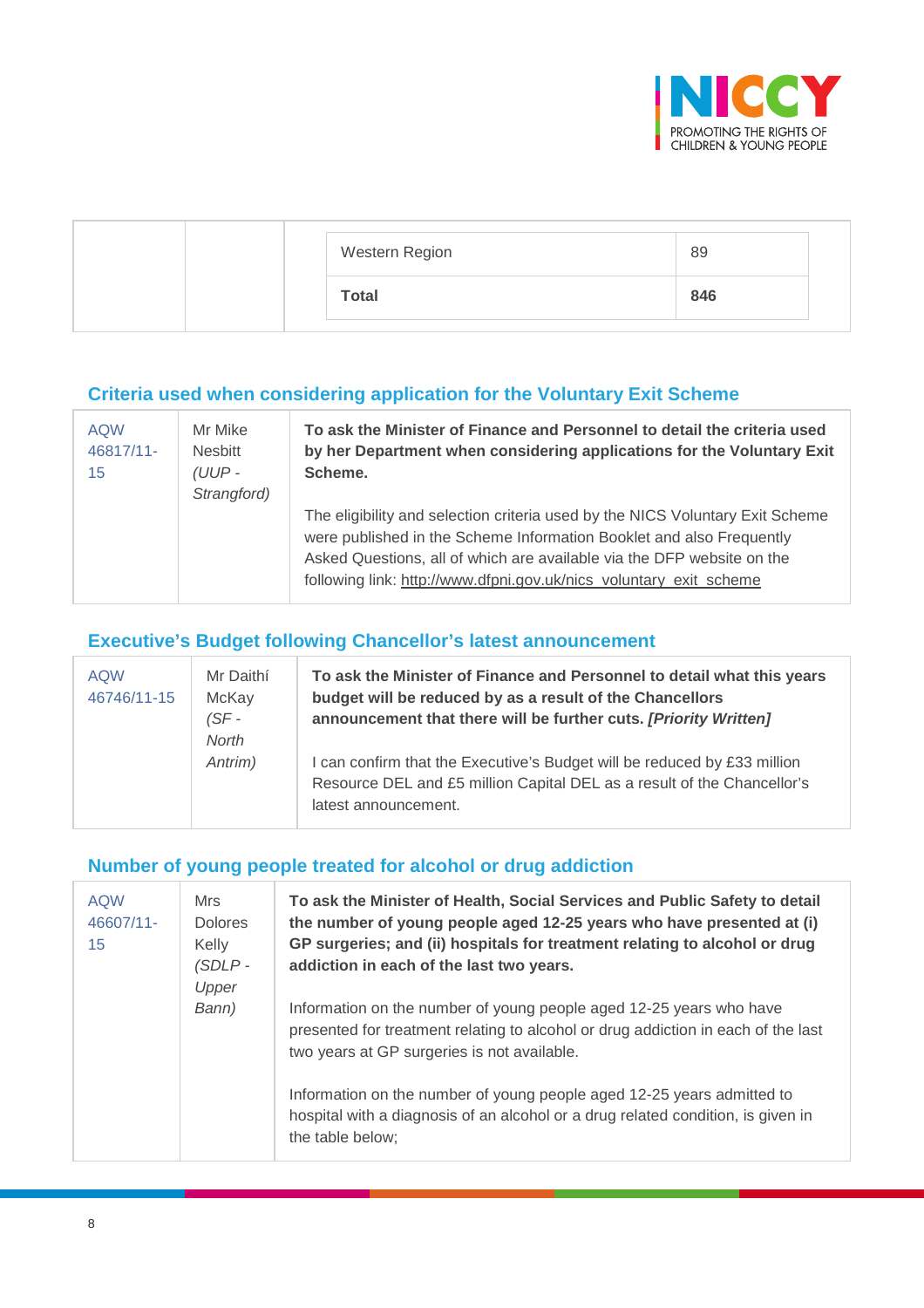

| Western Region | 89  |
|----------------|-----|
| <b>Total</b>   | 846 |

### **Criteria used when considering application for the Voluntary Exit Scheme**

| <b>AQW</b><br>46817/11-<br>15 | Mr Mike<br><b>Nesbitt</b><br>(UUP -<br>Strangford) | To ask the Minister of Finance and Personnel to detail the criteria used<br>by her Department when considering applications for the Voluntary Exit<br>Scheme.                                                                                                                                         |
|-------------------------------|----------------------------------------------------|-------------------------------------------------------------------------------------------------------------------------------------------------------------------------------------------------------------------------------------------------------------------------------------------------------|
|                               |                                                    | The eligibility and selection criteria used by the NICS Voluntary Exit Scheme<br>were published in the Scheme Information Booklet and also Frequently<br>Asked Questions, all of which are available via the DFP website on the<br>following link: http://www.dfpni.gov.uk/nics_voluntary_exit_scheme |

## **Executive's Budget following Chancellor's latest announcement**

| <b>AQW</b><br>46746/11-15 | Mr Daithí<br>McKay<br>$(SF -$<br><b>North</b> | To ask the Minister of Finance and Personnel to detail what this years<br>budget will be reduced by as a result of the Chancellors<br>announcement that there will be further cuts. [Priority Written] |
|---------------------------|-----------------------------------------------|--------------------------------------------------------------------------------------------------------------------------------------------------------------------------------------------------------|
|                           | Antrim)                                       | I can confirm that the Executive's Budget will be reduced by £33 million<br>Resource DEL and £5 million Capital DEL as a result of the Chancellor's<br>latest announcement.                            |

### **Number of young people treated for alcohol or drug addiction**

| <b>AQW</b><br>46607/11-<br>15 | Mrs<br><b>Dolores</b><br>Kelly<br>$(SDLP -$<br>Upper | To ask the Minister of Health, Social Services and Public Safety to detail<br>the number of young people aged 12-25 years who have presented at (i)<br>GP surgeries; and (ii) hospitals for treatment relating to alcohol or drug<br>addiction in each of the last two years. |
|-------------------------------|------------------------------------------------------|-------------------------------------------------------------------------------------------------------------------------------------------------------------------------------------------------------------------------------------------------------------------------------|
|                               | Bann)                                                | Information on the number of young people aged 12-25 years who have<br>presented for treatment relating to alcohol or drug addiction in each of the last<br>two years at GP surgeries is not available.                                                                       |
|                               |                                                      | Information on the number of young people aged 12-25 years admitted to<br>hospital with a diagnosis of an alcohol or a drug related condition, is given in<br>the table below;                                                                                                |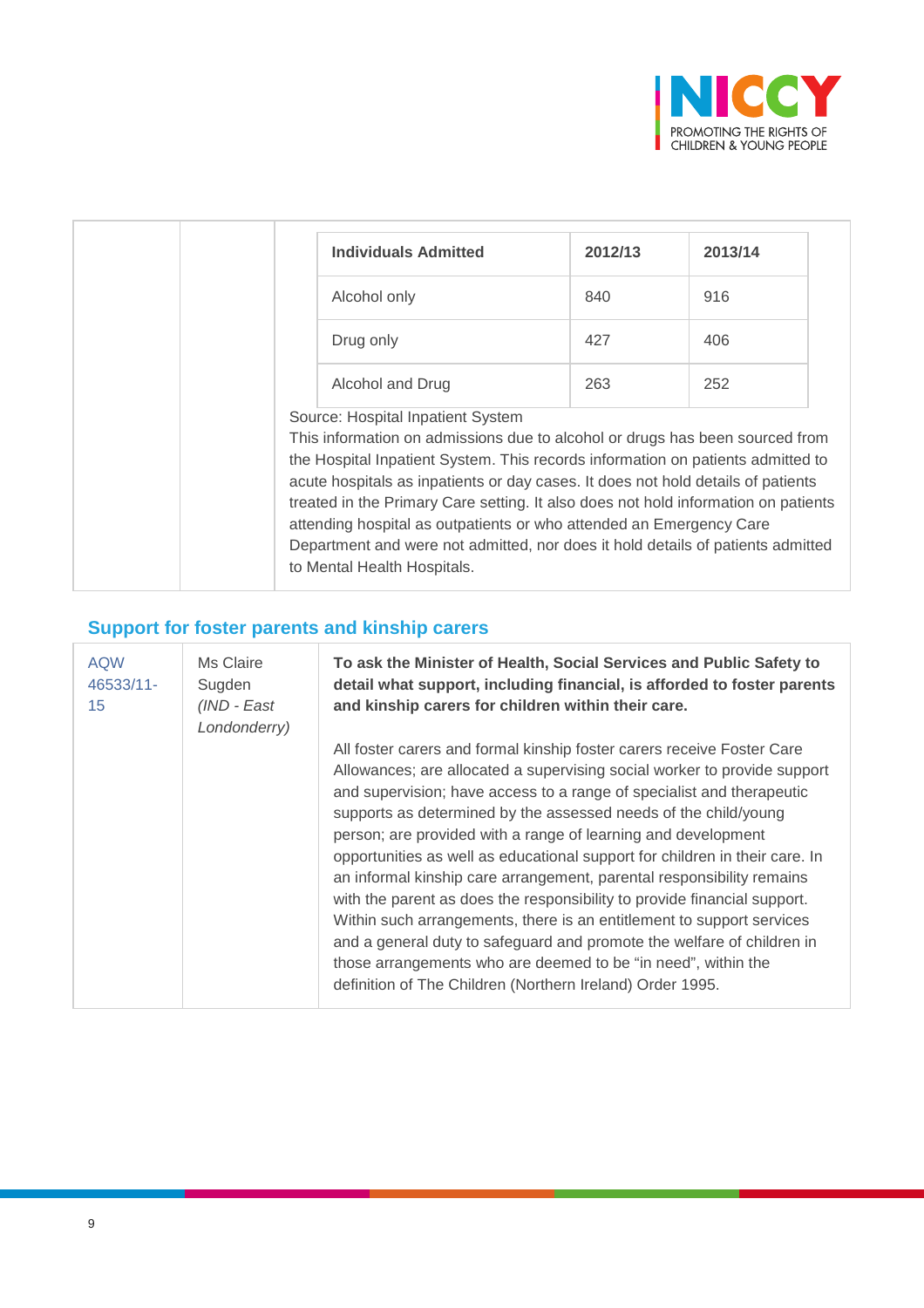

| <b>Individuals Admitted</b>                                                                                                                                                                                                                                                                                                                                                                                                                                                                                                                                             | 2012/13 | 2013/14 |
|-------------------------------------------------------------------------------------------------------------------------------------------------------------------------------------------------------------------------------------------------------------------------------------------------------------------------------------------------------------------------------------------------------------------------------------------------------------------------------------------------------------------------------------------------------------------------|---------|---------|
| Alcohol only                                                                                                                                                                                                                                                                                                                                                                                                                                                                                                                                                            | 840     | 916     |
| Drug only                                                                                                                                                                                                                                                                                                                                                                                                                                                                                                                                                               | 427     | 406     |
| Alcohol and Drug                                                                                                                                                                                                                                                                                                                                                                                                                                                                                                                                                        | 263     | 252     |
| Source: Hospital Inpatient System<br>This information on admissions due to alcohol or drugs has been sourced from<br>the Hospital Inpatient System. This records information on patients admitted to<br>acute hospitals as inpatients or day cases. It does not hold details of patients<br>treated in the Primary Care setting. It also does not hold information on patients<br>attending hospital as outpatients or who attended an Emergency Care<br>Department and were not admitted, nor does it hold details of patients admitted<br>to Mental Health Hospitals. |         |         |

# **Support for foster parents and kinship carers**

| <b>AQW</b><br>46533/11-<br>15 | Ms Claire<br>Sugden<br>(IND - East<br>Londonderry) | To ask the Minister of Health, Social Services and Public Safety to<br>detail what support, including financial, is afforded to foster parents<br>and kinship carers for children within their care.                                                                                                                                                                                                                                                                                                                                                                                                                                                                                                                                                                                                                                                                                 |
|-------------------------------|----------------------------------------------------|--------------------------------------------------------------------------------------------------------------------------------------------------------------------------------------------------------------------------------------------------------------------------------------------------------------------------------------------------------------------------------------------------------------------------------------------------------------------------------------------------------------------------------------------------------------------------------------------------------------------------------------------------------------------------------------------------------------------------------------------------------------------------------------------------------------------------------------------------------------------------------------|
|                               |                                                    | All foster carers and formal kinship foster carers receive Foster Care<br>Allowances; are allocated a supervising social worker to provide support<br>and supervision; have access to a range of specialist and therapeutic<br>supports as determined by the assessed needs of the child/young<br>person; are provided with a range of learning and development<br>opportunities as well as educational support for children in their care. In<br>an informal kinship care arrangement, parental responsibility remains<br>with the parent as does the responsibility to provide financial support.<br>Within such arrangements, there is an entitlement to support services<br>and a general duty to safeguard and promote the welfare of children in<br>those arrangements who are deemed to be "in need", within the<br>definition of The Children (Northern Ireland) Order 1995. |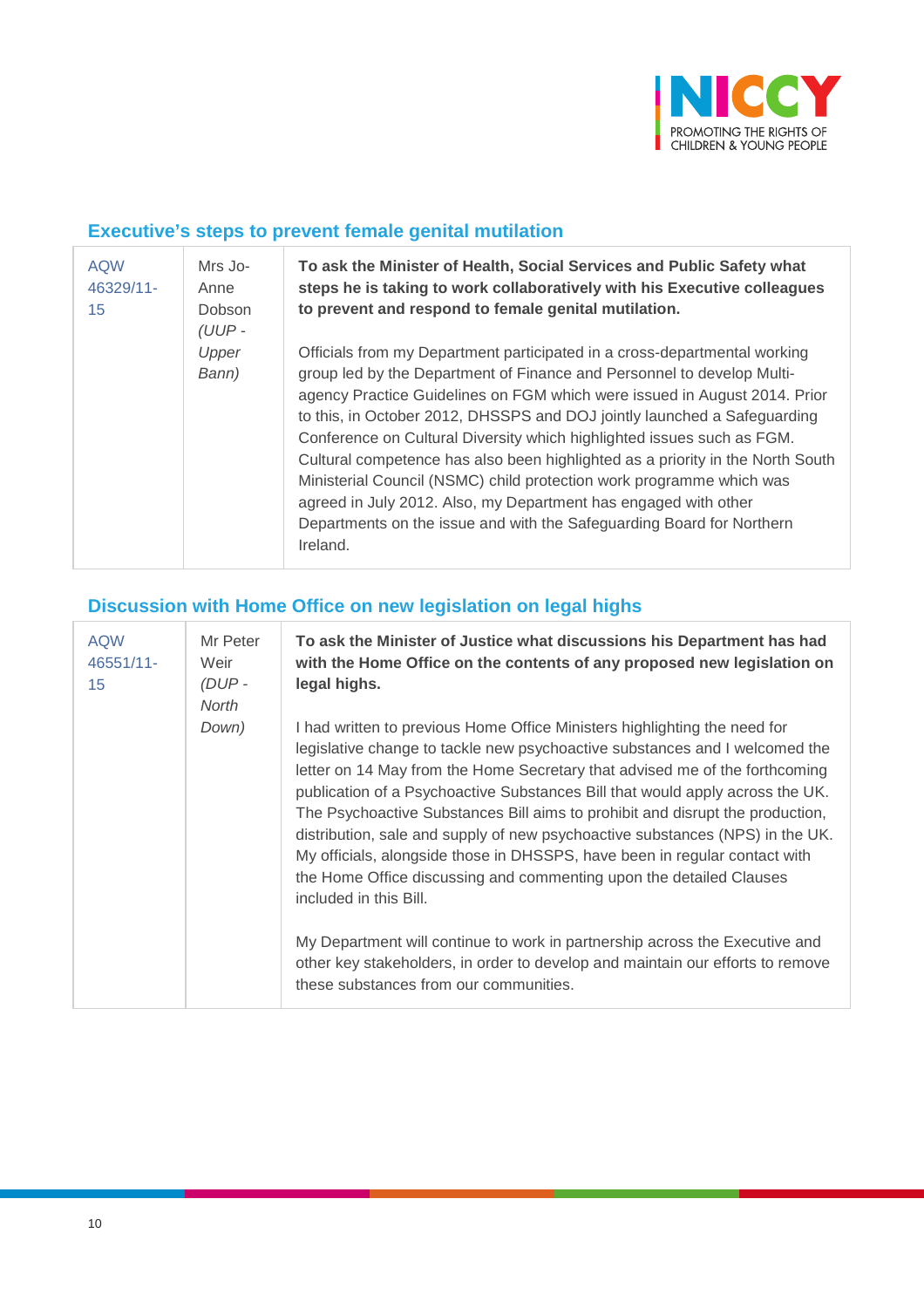

### **Executive's steps to prevent female genital mutilation**

| <b>AQW</b><br>46329/11-<br>15 | Mrs Jo-<br>Anne<br>Dobson<br>$(UUP -$ | To ask the Minister of Health, Social Services and Public Safety what<br>steps he is taking to work collaboratively with his Executive colleagues<br>to prevent and respond to female genital mutilation.                                                                                                                                                                                                                                                                                                                                                                                                                                                                                                |
|-------------------------------|---------------------------------------|----------------------------------------------------------------------------------------------------------------------------------------------------------------------------------------------------------------------------------------------------------------------------------------------------------------------------------------------------------------------------------------------------------------------------------------------------------------------------------------------------------------------------------------------------------------------------------------------------------------------------------------------------------------------------------------------------------|
|                               | Upper<br>Bann)                        | Officials from my Department participated in a cross-departmental working<br>group led by the Department of Finance and Personnel to develop Multi-<br>agency Practice Guidelines on FGM which were issued in August 2014. Prior<br>to this, in October 2012, DHSSPS and DOJ jointly launched a Safeguarding<br>Conference on Cultural Diversity which highlighted issues such as FGM.<br>Cultural competence has also been highlighted as a priority in the North South<br>Ministerial Council (NSMC) child protection work programme which was<br>agreed in July 2012. Also, my Department has engaged with other<br>Departments on the issue and with the Safeguarding Board for Northern<br>Ireland. |

## **Discussion with Home Office on new legislation on legal highs**

| <b>AQW</b><br>46551/11-<br>15 | Mr Peter<br>Weir<br>(DUP-<br>North | To ask the Minister of Justice what discussions his Department has had<br>with the Home Office on the contents of any proposed new legislation on<br>legal highs.                                                                                                                                                                                                                                                                                                                                                                                                                                                                                                         |
|-------------------------------|------------------------------------|---------------------------------------------------------------------------------------------------------------------------------------------------------------------------------------------------------------------------------------------------------------------------------------------------------------------------------------------------------------------------------------------------------------------------------------------------------------------------------------------------------------------------------------------------------------------------------------------------------------------------------------------------------------------------|
|                               | Down)                              | I had written to previous Home Office Ministers highlighting the need for<br>legislative change to tackle new psychoactive substances and I welcomed the<br>letter on 14 May from the Home Secretary that advised me of the forthcoming<br>publication of a Psychoactive Substances Bill that would apply across the UK.<br>The Psychoactive Substances Bill aims to prohibit and disrupt the production,<br>distribution, sale and supply of new psychoactive substances (NPS) in the UK.<br>My officials, alongside those in DHSSPS, have been in regular contact with<br>the Home Office discussing and commenting upon the detailed Clauses<br>included in this Bill. |
|                               |                                    | My Department will continue to work in partnership across the Executive and<br>other key stakeholders, in order to develop and maintain our efforts to remove<br>these substances from our communities.                                                                                                                                                                                                                                                                                                                                                                                                                                                                   |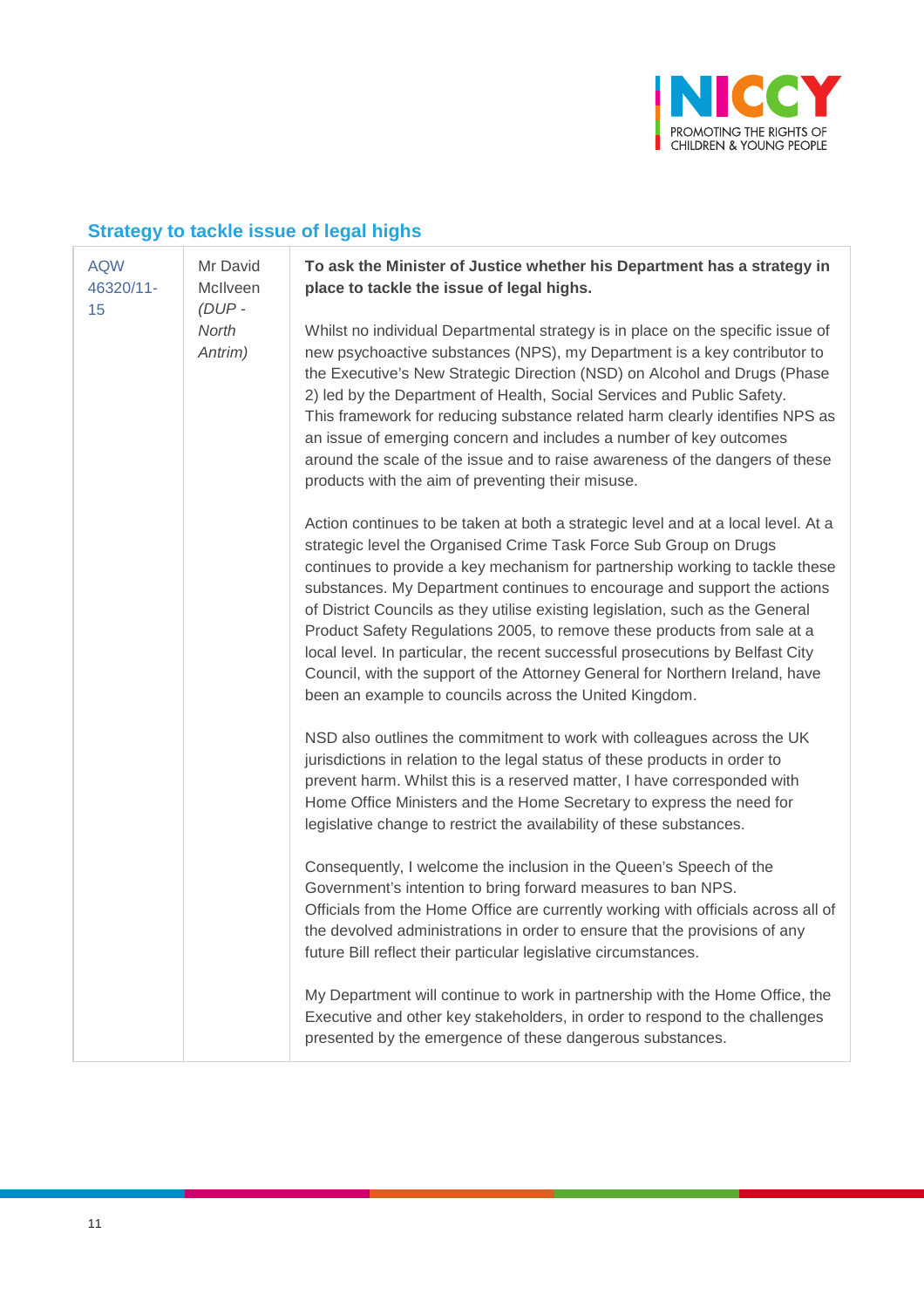

# **Strategy to tackle issue of legal highs**

| <b>AQW</b><br>Mr David<br>McIlveen<br>46320/11-<br>$(DUP -$<br>15<br>North<br>Antrim) | To ask the Minister of Justice whether his Department has a strategy in<br>place to tackle the issue of legal highs.                                                                                                                                                                                                                                                                                                                                                                                                                                                                                                                                                                                         |
|---------------------------------------------------------------------------------------|--------------------------------------------------------------------------------------------------------------------------------------------------------------------------------------------------------------------------------------------------------------------------------------------------------------------------------------------------------------------------------------------------------------------------------------------------------------------------------------------------------------------------------------------------------------------------------------------------------------------------------------------------------------------------------------------------------------|
|                                                                                       | Whilst no individual Departmental strategy is in place on the specific issue of<br>new psychoactive substances (NPS), my Department is a key contributor to<br>the Executive's New Strategic Direction (NSD) on Alcohol and Drugs (Phase<br>2) led by the Department of Health, Social Services and Public Safety.<br>This framework for reducing substance related harm clearly identifies NPS as<br>an issue of emerging concern and includes a number of key outcomes<br>around the scale of the issue and to raise awareness of the dangers of these<br>products with the aim of preventing their misuse.                                                                                                |
|                                                                                       | Action continues to be taken at both a strategic level and at a local level. At a<br>strategic level the Organised Crime Task Force Sub Group on Drugs<br>continues to provide a key mechanism for partnership working to tackle these<br>substances. My Department continues to encourage and support the actions<br>of District Councils as they utilise existing legislation, such as the General<br>Product Safety Regulations 2005, to remove these products from sale at a<br>local level. In particular, the recent successful prosecutions by Belfast City<br>Council, with the support of the Attorney General for Northern Ireland, have<br>been an example to councils across the United Kingdom. |
|                                                                                       | NSD also outlines the commitment to work with colleagues across the UK<br>jurisdictions in relation to the legal status of these products in order to<br>prevent harm. Whilst this is a reserved matter, I have corresponded with<br>Home Office Ministers and the Home Secretary to express the need for<br>legislative change to restrict the availability of these substances.                                                                                                                                                                                                                                                                                                                            |
|                                                                                       | Consequently, I welcome the inclusion in the Queen's Speech of the<br>Government's intention to bring forward measures to ban NPS.<br>Officials from the Home Office are currently working with officials across all of<br>the devolved administrations in order to ensure that the provisions of any<br>future Bill reflect their particular legislative circumstances.                                                                                                                                                                                                                                                                                                                                     |
|                                                                                       | My Department will continue to work in partnership with the Home Office, the<br>Executive and other key stakeholders, in order to respond to the challenges<br>presented by the emergence of these dangerous substances.                                                                                                                                                                                                                                                                                                                                                                                                                                                                                     |